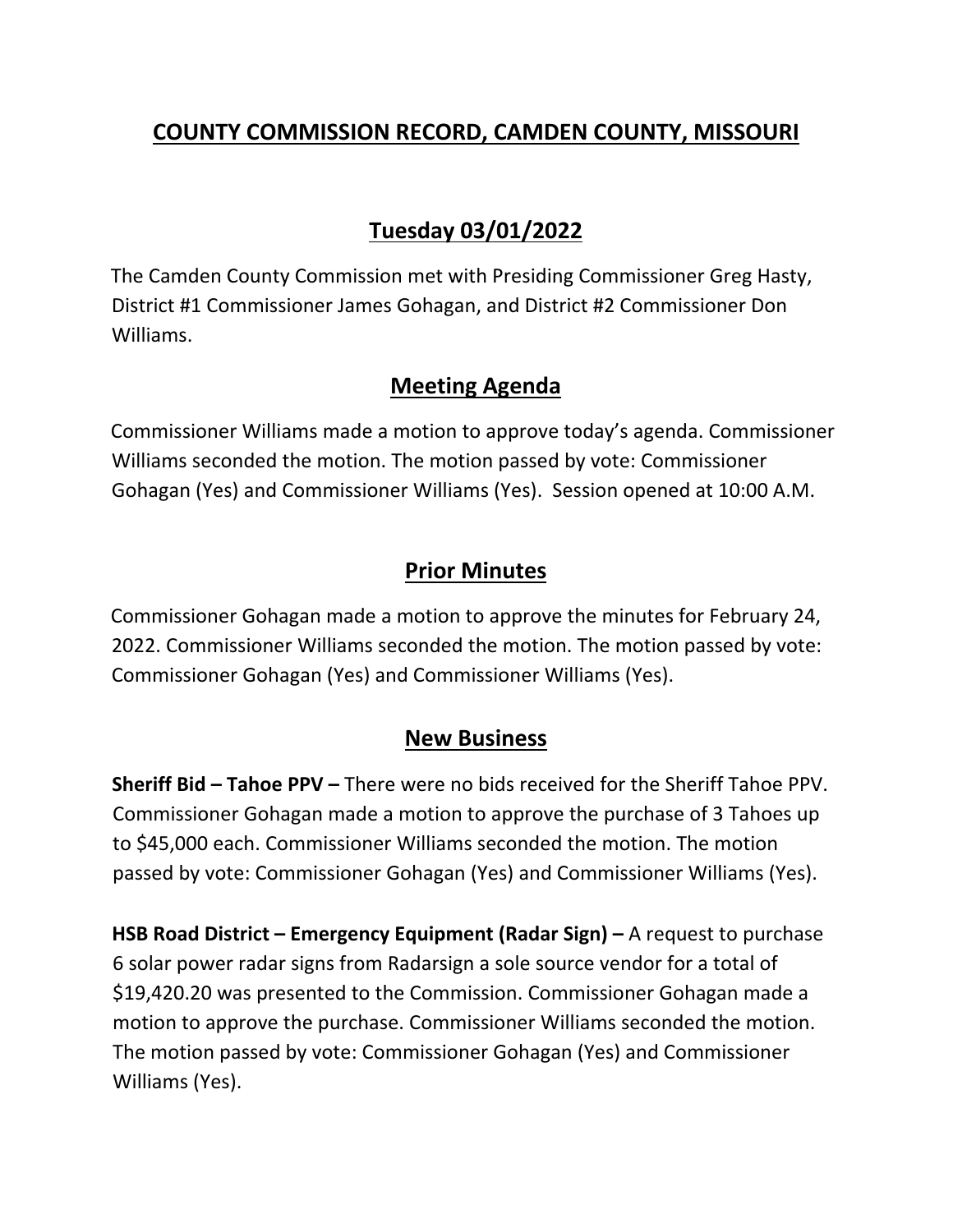## **COUNTY COMMISSION RECORD, CAMDEN COUNTY, MISSOURI**

# **Tuesday 03/01/2022**

The Camden County Commission met with Presiding Commissioner Greg Hasty, District #1 Commissioner James Gohagan, and District #2 Commissioner Don Williams.

#### **Meeting Agenda**

Commissioner Williams made a motion to approve today's agenda. Commissioner Williams seconded the motion. The motion passed by vote: Commissioner Gohagan (Yes) and Commissioner Williams (Yes). Session opened at 10:00 A.M.

### **Prior Minutes**

Commissioner Gohagan made a motion to approve the minutes for February 24, 2022. Commissioner Williams seconded the motion. The motion passed by vote: Commissioner Gohagan (Yes) and Commissioner Williams (Yes).

#### **New Business**

**Sheriff Bid – Tahoe PPV –** There were no bids received for the Sheriff Tahoe PPV. Commissioner Gohagan made a motion to approve the purchase of 3 Tahoes up to \$45,000 each. Commissioner Williams seconded the motion. The motion passed by vote: Commissioner Gohagan (Yes) and Commissioner Williams (Yes).

**HSB Road District – Emergency Equipment (Radar Sign) –** A request to purchase 6 solar power radar signs from Radarsign a sole source vendor for a total of \$19,420.20 was presented to the Commission. Commissioner Gohagan made a motion to approve the purchase. Commissioner Williams seconded the motion. The motion passed by vote: Commissioner Gohagan (Yes) and Commissioner Williams (Yes).